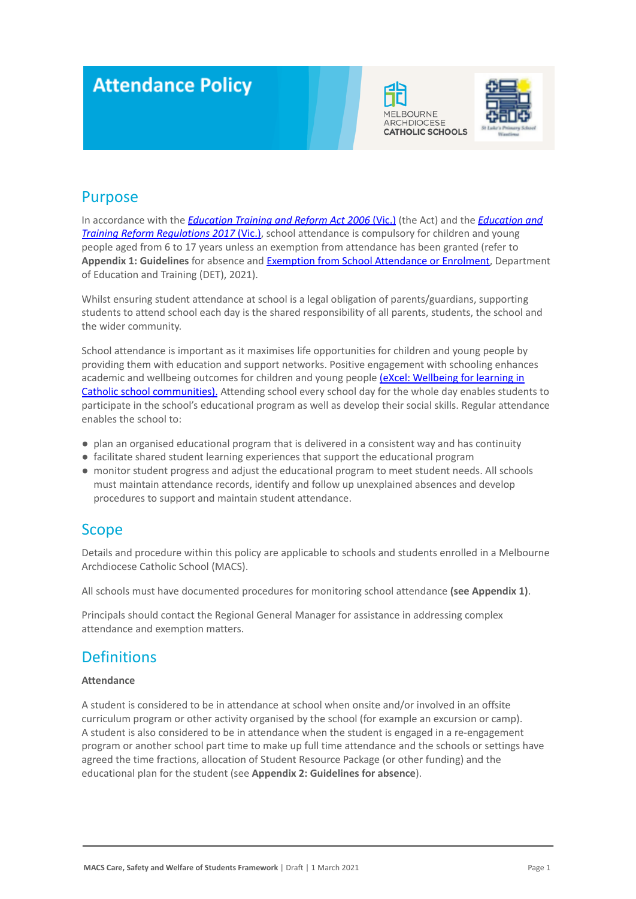# **Attendance Policy**





### Purpose

In accordance with the *[Education Training and Reform](https://www.macs.vic.edu.au/CatholicEducationMelbourne/media/Documentation/Documents/eXcel-Wellbeing-for-learning_Guide_May-2018_CEM.pdf) Act 2006* (Vic.) (the Act) and the *[Education and](https://www.education.vic.gov.au/about/department/legislation/Pages/act2006regs.aspx) [Training Reform Regulations 2017](https://www.education.vic.gov.au/about/department/legislation/Pages/act2006regs.aspx)* (Vic.), school attendance is compulsory for children and young people aged from 6 to 17 years unless an exemption from attendance has been granted (refer to **Appendix 1: Guidelines** for absence and Exemption from [School Attendance or Enrolment](https://www2.education.vic.gov.au/pal/exemption-school-attendance-and-enrolment/policy), Department of Education and Training (DET), 2021).

Whilst ensuring student attendance at school is a legal obligation of parents/guardians, supporting students to attend school each day is the shared responsibility of all parents, students, the school and the wider community.

School attendance is important as it maximises life opportunities for children and young people by providing them with education and support networks. Positive engagement with schooling enhances academic and wellbeing outcomes for children and young people [\(eXcel: Wellbeing for learning in](https://www.macs.vic.edu.au/CatholicEducationMelbourne/media/Documentation/Documents/eXcel-Wellbeing-for-learning_Guide_May-2018_CEM.pdf) [Catholic school communities\).](https://www.macs.vic.edu.au/CatholicEducationMelbourne/media/Documentation/Documents/eXcel-Wellbeing-for-learning_Guide_May-2018_CEM.pdf) Attending school every school day for the whole day enables students to participate in the school's educational program as well as develop their social skills. Regular attendance enables the school to:

- plan an organised educational program that is delivered in a consistent way and has continuity
- facilitate shared student learning experiences that support the educational program
- monitor student progress and adjust the educational program to meet student needs. All schools must maintain attendance records, identify and follow up unexplained absences and develop procedures to support and maintain student attendance.

### **Scope**

Details and procedure within this policy are applicable to schools and students enrolled in a Melbourne Archdiocese Catholic School (MACS).

All schools must have documented procedures for monitoring school attendance **(see Appendix 1)**.

Principals should contact the Regional General Manager for assistance in addressing complex attendance and exemption matters.

### **Definitions**

#### **Attendance**

A student is considered to be in attendance at school when onsite and/or involved in an offsite curriculum program or other activity organised by the school (for example an excursion or camp). A student is also considered to be in attendance when the student is engaged in a re-engagement program or another school part time to make up full time attendance and the schools or settings have agreed the time fractions, allocation of Student Resource Package (or other funding) and the educational plan for the student (see **Appendix 2: Guidelines for absence**).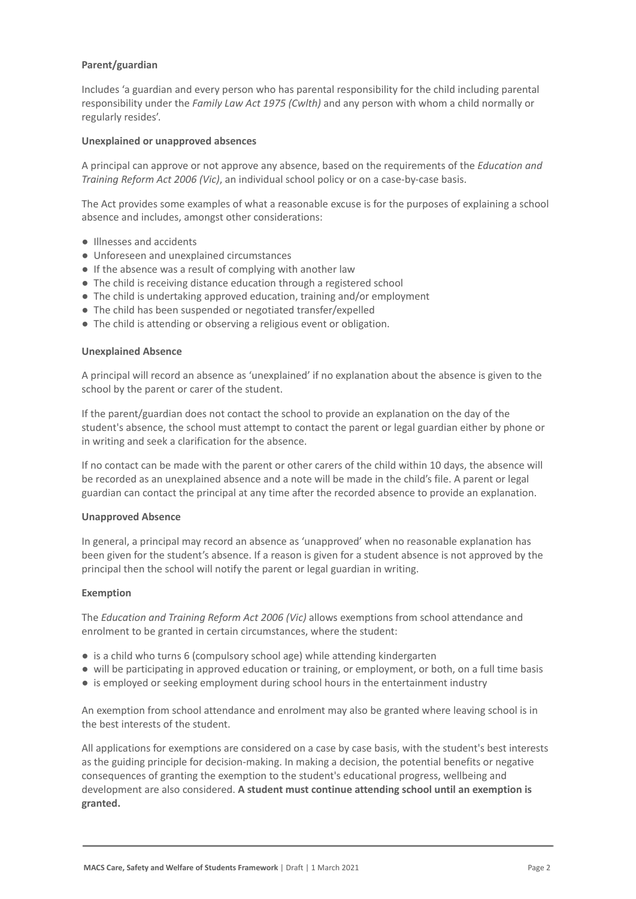#### **Parent/guardian**

Includes 'a guardian and every person who has parental responsibility for the child including parental responsibility under the *Family Law Act 1975 (Cwlth)* and any person with whom a child normally or regularly resides'.

#### **Unexplained or unapproved absences**

A principal can approve or not approve any absence, based on the requirements of the *Education and Training Reform Act 2006 (Vic)*, an individual school policy or on a case-by-case basis.

The Act provides some examples of what a reasonable excuse is for the purposes of explaining a school absence and includes, amongst other considerations:

- Illnesses and accidents
- Unforeseen and unexplained circumstances
- If the absence was a result of complying with another law
- The child is receiving distance education through a registered school
- The child is undertaking approved education, training and/or employment
- The child has been suspended or negotiated transfer/expelled
- The child is attending or observing a religious event or obligation.

#### **Unexplained Absence**

A principal will record an absence as 'unexplained' if no explanation about the absence is given to the school by the parent or carer of the student.

If the parent/guardian does not contact the school to provide an explanation on the day of the student's absence, the school must attempt to contact the parent or legal guardian either by phone or in writing and seek a clarification for the absence.

If no contact can be made with the parent or other carers of the child within 10 days, the absence will be recorded as an unexplained absence and a note will be made in the child's file. A parent or legal guardian can contact the principal at any time after the recorded absence to provide an explanation.

#### **Unapproved Absence**

In general, a principal may record an absence as 'unapproved' when no reasonable explanation has been given for the student's absence. If a reason is given for a student absence is not approved by the principal then the school will notify the parent or legal guardian in writing.

#### **Exemption**

The *Education and Training Reform Act 2006 (Vic)* allows exemptions from school attendance and enrolment to be granted in certain circumstances, where the student:

- is a child who turns 6 (compulsory school age) while attending kindergarten
- will be participating in approved education or training, or employment, or both, on a full time basis
- is employed or seeking employment during school hours in the entertainment industry

An exemption from school attendance and enrolment may also be granted where leaving school is in the best interests of the student.

All applications for exemptions are considered on a case by case basis, with the student's best interests as the guiding principle for decision-making. In making a decision, the potential benefits or negative consequences of granting the exemption to the student's educational progress, wellbeing and development are also considered. **A student must continue attending school until an exemption is granted.**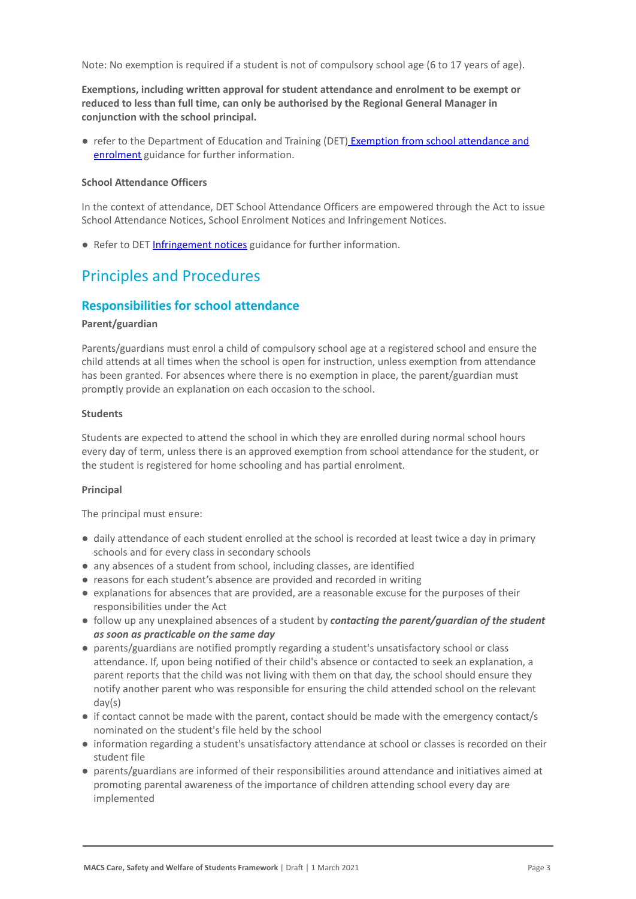Note: No exemption is required if a student is not of compulsory school age (6 to 17 years of age).

**Exemptions, including written approval for student attendance and enrolment to be exempt or reduced to less than full time, can only be authorised by the Regional General Manager in conjunction with the school principal.**

● refer to the Department of Education and Training (DET) [Exemption from school attendance and](https://www2.education.vic.gov.au/pal/exemption-school-attendance-and-enrolment/guidance/1-exemption-categories) [enrolment](https://www2.education.vic.gov.au/pal/exemption-school-attendance-and-enrolment/guidance/1-exemption-categories) guidance for further information.

#### **School Attendance Officers**

In the context of attendance, DET School Attendance Officers are empowered through the Act to issue School Attendance Notices, School Enrolment Notices and Infringement Notices.

● Refer to DET [Infringement notices](https://www2.education.vic.gov.au/pal/attendance/guidance/10-infringement-notices) guidance for further information.

### Principles and Procedures

#### **Responsibilities for school attendance**

#### **Parent/guardian**

Parents/guardians must enrol a child of compulsory school age at a registered school and ensure the child attends at all times when the school is open for instruction, unless exemption from attendance has been granted. For absences where there is no exemption in place, the parent/guardian must promptly provide an explanation on each occasion to the school.

#### **Students**

Students are expected to attend the school in which they are enrolled during normal school hours every day of term, unless there is an approved exemption from school attendance for the student, or the student is registered for home schooling and has partial enrolment.

#### **Principal**

The principal must ensure:

- daily attendance of each student enrolled at the school is recorded at least twice a day in primary schools and for every class in secondary schools
- any absences of a student from school, including classes, are identified
- reasons for each student's absence are provided and recorded in writing
- explanations for absences that are provided, are a reasonable excuse for the purposes of their responsibilities under the Act
- **●** follow up any unexplained absences of a student by *contacting the parent/guardian of the student as soon as practicable on the same day*
- parents/guardians are notified promptly regarding a student's unsatisfactory school or class attendance. If, upon being notified of their child's absence or contacted to seek an explanation, a parent reports that the child was not living with them on that day, the school should ensure they notify another parent who was responsible for ensuring the child attended school on the relevant day(s)
- if contact cannot be made with the parent, contact should be made with the emergency contact/s nominated on the student's file held by the school
- information regarding a student's unsatisfactory attendance at school or classes is recorded on their student file
- parents/guardians are informed of their responsibilities around attendance and initiatives aimed at promoting parental awareness of the importance of children attending school every day are implemented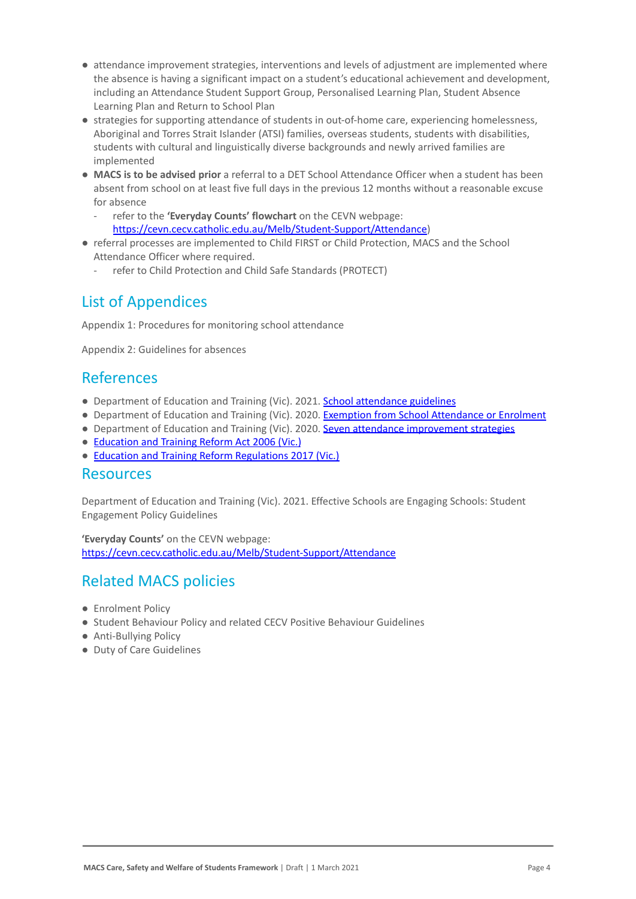- attendance improvement strategies, interventions and levels of adjustment are implemented where the absence is having a significant impact on a student's educational achievement and development, including an Attendance Student Support Group, Personalised Learning Plan, Student Absence Learning Plan and Return to School Plan
- strategies for supporting attendance of students in out-of-home care, experiencing homelessness, Aboriginal and Torres Strait Islander (ATSI) families, overseas students, students with disabilities, students with cultural and linguistically diverse backgrounds and newly arrived families are implemented
- **MACS is to be advised prior** a referral to a DET School Attendance Officer when a student has been absent from school on at least five full days in the previous 12 months without a reasonable excuse for absence
	- refer to the **'Everyday Counts' flowchart** on the CEVN webpage: <https://cevn.cecv.catholic.edu.au/Melb/Student-Support/Attendance>)
- referral processes are implemented to Child FIRST or Child Protection, MACS and the School Attendance Officer where required.
	- refer to Child Protection and Child Safe Standards (PROTECT)

### List of Appendices

Appendix 1: Procedures for monitoring school attendance

Appendix 2: Guidelines for absences

### References

- Department of Education and Training (Vic). 2021. [School attendance guidelines](https://www2.education.vic.gov.au/pal/attendance/guidance)
- Department of Education and Training (Vic). 2020. [Exemption from School Attendance or Enrolment](https://www2.education.vic.gov.au/pal/exemption-school-attendance-and-enrolment/policy)
- Department of Education and Training (Vic). 2020. [Seven attendance improvement strategies](https://www2.education.vic.gov.au/pal/attendance/guidance/7-attendance-improvement-strategies)
- [Education and Training Reform Act 2006 \(Vic.\)](https://www.legislation.vic.gov.au/in-force/acts/education-and-training-reform-act-2006/083)
- [Education and Training Reform Regulations 2017 \(Vic.\)](https://www.education.vic.gov.au/about/department/legislation/Pages/act2006regs.aspx)

### Resources

Department of Education and Training (Vic). 2021. Effective Schools are Engaging Schools: Student Engagement Policy Guidelines

**'Everyday Counts'** on the CEVN webpage: <https://cevn.cecv.catholic.edu.au/Melb/Student-Support/Attendance>

### Related MACS policies

- Enrolment Policy
- Student Behaviour Policy and related CECV Positive Behaviour Guidelines
- Anti-Bullying Policy
- Duty of Care Guidelines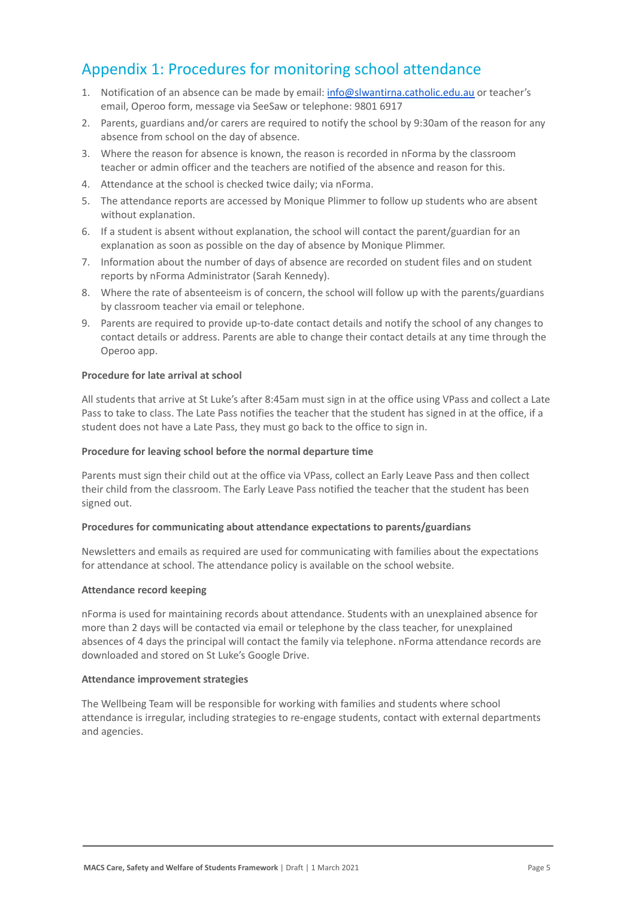## Appendix 1: Procedures for monitoring school attendance

- 1. Notification of an absence can be made by email: [info@slwantirna.catholic.edu.au](mailto:info@slwantirna.catholic.edu.au) or teacher's email, Operoo form, message via SeeSaw or telephone: 9801 6917
- 2. Parents, guardians and/or carers are required to notify the school by 9:30am of the reason for any absence from school on the day of absence.
- 3. Where the reason for absence is known, the reason is recorded in nForma by the classroom teacher or admin officer and the teachers are notified of the absence and reason for this.
- 4. Attendance at the school is checked twice daily; via nForma.
- 5. The attendance reports are accessed by Monique Plimmer to follow up students who are absent without explanation.
- 6. If a student is absent without explanation, the school will contact the parent/guardian for an explanation as soon as possible on the day of absence by Monique Plimmer.
- 7. Information about the number of days of absence are recorded on student files and on student reports by nForma Administrator (Sarah Kennedy).
- 8. Where the rate of absenteeism is of concern, the school will follow up with the parents/guardians by classroom teacher via email or telephone.
- 9. Parents are required to provide up-to-date contact details and notify the school of any changes to contact details or address. Parents are able to change their contact details at any time through the Operoo app.

#### **Procedure for late arrival at school**

All students that arrive at St Luke's after 8:45am must sign in at the office using VPass and collect a Late Pass to take to class. The Late Pass notifies the teacher that the student has signed in at the office, if a student does not have a Late Pass, they must go back to the office to sign in.

#### **Procedure for leaving school before the normal departure time**

Parents must sign their child out at the office via VPass, collect an Early Leave Pass and then collect their child from the classroom. The Early Leave Pass notified the teacher that the student has been signed out.

#### **Procedures for communicating about attendance expectations to parents/guardians**

Newsletters and emails as required are used for communicating with families about the expectations for attendance at school. The attendance policy is available on the school website.

#### **Attendance record keeping**

nForma is used for maintaining records about attendance. Students with an unexplained absence for more than 2 days will be contacted via email or telephone by the class teacher, for unexplained absences of 4 days the principal will contact the family via telephone. nForma attendance records are downloaded and stored on St Luke's Google Drive.

#### **Attendance improvement strategies**

The Wellbeing Team will be responsible for working with families and students where school attendance is irregular, including strategies to re-engage students, contact with external departments and agencies.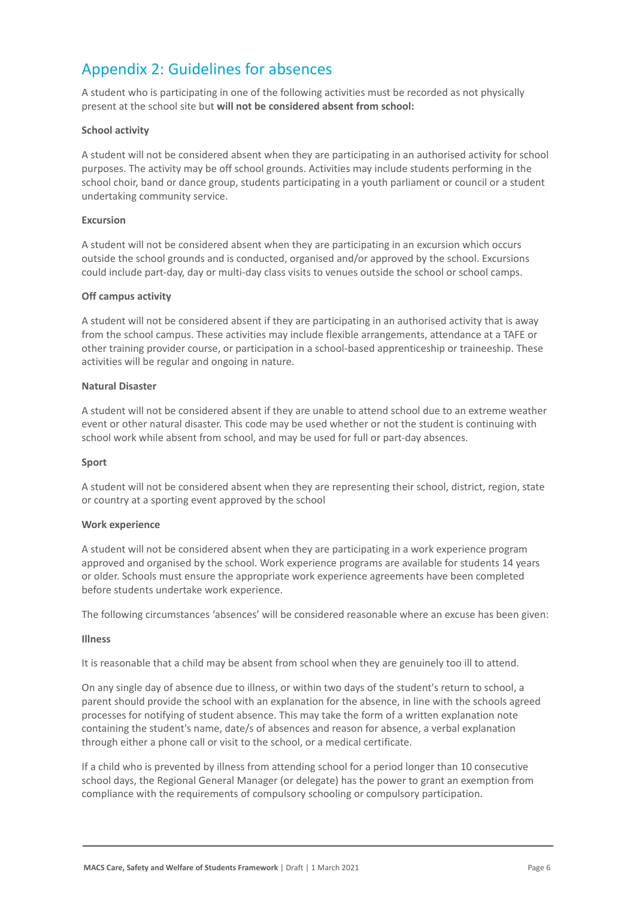# Appendix 2: Guidelines for absences

A student who is participating in one of the following activities must be recorded as not physically present at the school site but **will not be considered absent from school:**

#### **School activity**

A student will not be considered absent when they are participating in an authorised activity for school purposes. The activity may be off school grounds. Activities may include students performing in the school choir, band or dance group, students participating in a youth parliament or council or a student undertaking community service.

#### **Excursion**

A student will not be considered absent when they are participating in an excursion which occurs outside the school grounds and is conducted, organised and/or approved by the school. Excursions could include part-day, day or multi-day class visits to venues outside the school or school camps.

#### **Off campus activity**

A student will not be considered absent if they are participating in an authorised activity that is away from the school campus. These activities may include flexible arrangements, attendance at a TAFE or other training provider course, or participation in a school-based apprenticeship or traineeship. These activities will be regular and ongoing in nature.

#### **Natural Disaster**

A student will not be considered absent if they are unable to attend school due to an extreme weather event or other natural disaster. This code may be used whether or not the student is continuing with school work while absent from school, and may be used for full or part-day absences.

#### **Sport**

A student will not be considered absent when they are representing their school, district, region, state or country at a sporting event approved by the school

#### **Work experience**

A student will not be considered absent when they are participating in a work experience program approved and organised by the school. Work experience programs are available for students 14 years or older. Schools must ensure the appropriate work experience agreements have been completed before students undertake work experience.

The following circumstances 'absences' will be considered reasonable where an excuse has been given:

#### **Illness**

It is reasonable that a child may be absent from school when they are genuinely too ill to attend.

On any single day of absence due to illness, or within two days of the student's return to school, a parent should provide the school with an explanation for the absence, in line with the schools agreed processes for notifying of student absence. This may take the form of a written explanation note containing the student's name, date/s of absences and reason for absence, a verbal explanation through either a phone call or visit to the school, or a medical certificate.

If a child who is prevented by illness from attending school for a period longer than 10 consecutive school days, the Regional General Manager (or delegate) has the power to grant an exemption from compliance with the requirements of compulsory schooling or compulsory participation.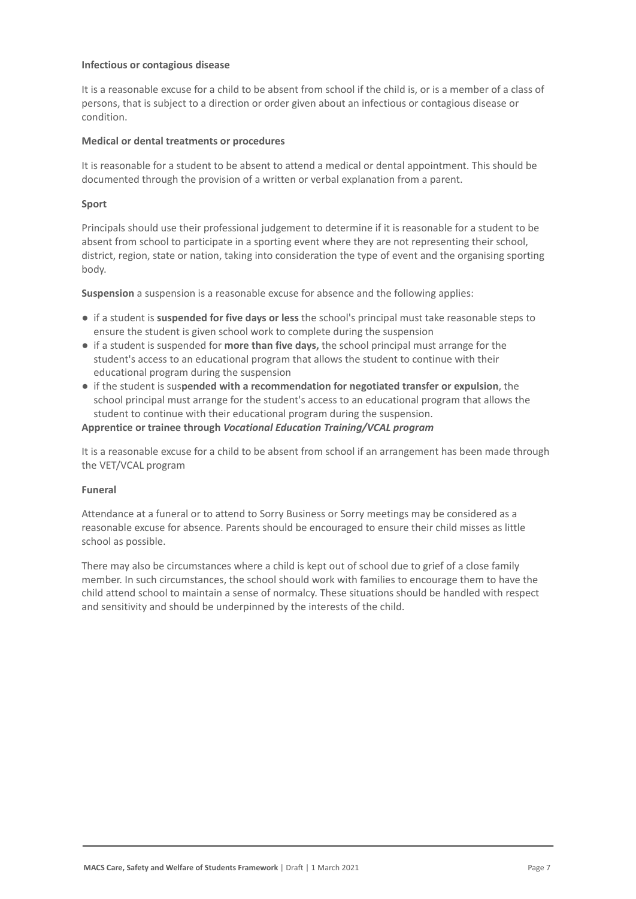#### **Infectious or contagious disease**

It is a reasonable excuse for a child to be absent from school if the child is, or is a member of a class of persons, that is subject to a direction or order given about an infectious or contagious disease or condition.

#### **Medical or dental treatments or procedures**

It is reasonable for a student to be absent to attend a medical or dental appointment. This should be documented through the provision of a written or verbal explanation from a parent.

#### **Sport**

Principals should use their professional judgement to determine if it is reasonable for a student to be absent from school to participate in a sporting event where they are not representing their school, district, region, state or nation, taking into consideration the type of event and the organising sporting body.

**Suspension** a suspension is a reasonable excuse for absence and the following applies:

- if a student is **suspended for five days or less** the school's principal must take reasonable steps to ensure the student is given school work to complete during the suspension
- if a student is suspended for **more than five days,** the school principal must arrange for the student's access to an educational program that allows the student to continue with their educational program during the suspension
- if the student is sus**pended with a recommendation for negotiated transfer or expulsion**, the school principal must arrange for the student's access to an educational program that allows the student to continue with their educational program during the suspension.

#### **Apprentice or trainee through** *Vocational Education Training/VCAL program*

It is a reasonable excuse for a child to be absent from school if an arrangement has been made through the VET/VCAL program

#### **Funeral**

Attendance at a funeral or to attend to Sorry Business or Sorry meetings may be considered as a reasonable excuse for absence. Parents should be encouraged to ensure their child misses as little school as possible.

There may also be circumstances where a child is kept out of school due to grief of a close family member. In such circumstances, the school should work with families to encourage them to have the child attend school to maintain a sense of normalcy. These situations should be handled with respect and sensitivity and should be underpinned by the interests of the child.